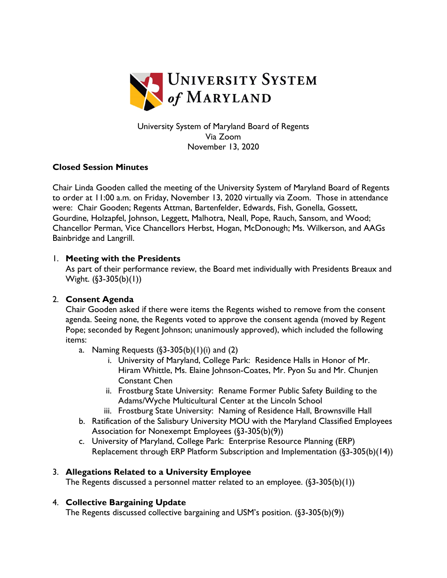

University System of Maryland Board of Regents Via Zoom November 13, 2020

#### **Closed Session Minutes**

Chair Linda Gooden called the meeting of the University System of Maryland Board of Regents to order at 11:00 a.m. on Friday, November 13, 2020 virtually via Zoom. Those in attendance were: Chair Gooden; Regents Attman, Bartenfelder, Edwards, Fish, Gonella, Gossett, Gourdine, Holzapfel, Johnson, Leggett, Malhotra, Neall, Pope, Rauch, Sansom, and Wood; Chancellor Perman, Vice Chancellors Herbst, Hogan, McDonough; Ms. Wilkerson, and AAGs Bainbridge and Langrill.

#### 1. **Meeting with the Presidents**

As part of their performance review, the Board met individually with Presidents Breaux and Wight. (§3-305(b)(1))

# 2. **Consent Agenda**

Chair Gooden asked if there were items the Regents wished to remove from the consent agenda. Seeing none, the Regents voted to approve the consent agenda (moved by Regent Pope; seconded by Regent Johnson; unanimously approved), which included the following items:

- a. Naming Requests  $(\frac{53-305(b)}{1)(i)}$  and  $(2)$ 
	- i. University of Maryland, College Park: Residence Halls in Honor of Mr. Hiram Whittle, Ms. Elaine Johnson-Coates, Mr. Pyon Su and Mr. Chunjen Constant Chen
	- ii. Frostburg State University: Rename Former Public Safety Building to the Adams/Wyche Multicultural Center at the Lincoln School
	- iii. Frostburg State University: Naming of Residence Hall, Brownsville Hall
- b. Ratification of the Salisbury University MOU with the Maryland Classified Employees Association for Nonexempt Employees (§3-305(b)(9))
- c. University of Maryland, College Park: Enterprise Resource Planning (ERP) Replacement through ERP Platform Subscription and Implementation (§3-305(b)(14))

# 3. **Allegations Related to a University Employee**

The Regents discussed a personnel matter related to an employee. (§3-305(b)(1))

# 4. **Collective Bargaining Update**

The Regents discussed collective bargaining and USM's position. (§3-305(b)(9))